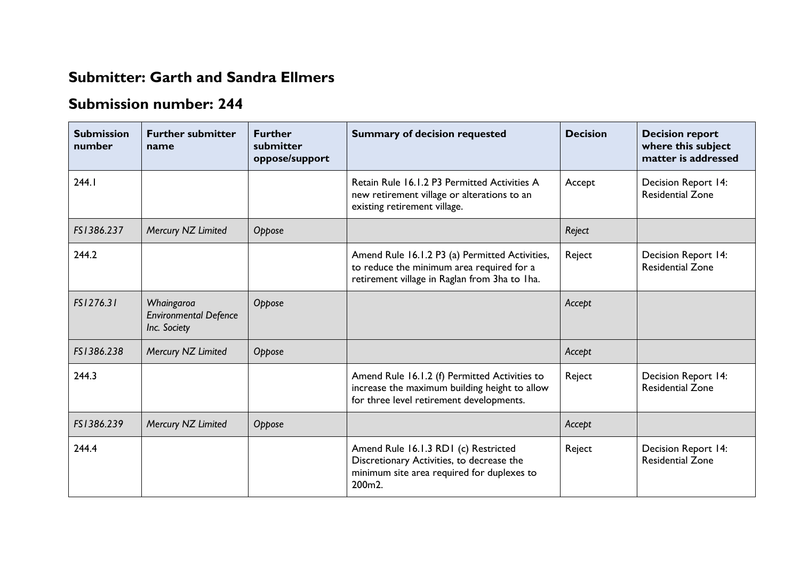## **Submitter: Garth and Sandra Ellmers**

## **Submission number: 244**

| <b>Submission</b><br>number | <b>Further submitter</b><br>name                           | <b>Further</b><br>submitter<br>oppose/support | <b>Summary of decision requested</b>                                                                                                         | <b>Decision</b> | <b>Decision report</b><br>where this subject<br>matter is addressed |
|-----------------------------|------------------------------------------------------------|-----------------------------------------------|----------------------------------------------------------------------------------------------------------------------------------------------|-----------------|---------------------------------------------------------------------|
| 244.1                       |                                                            |                                               | Retain Rule 16.1.2 P3 Permitted Activities A<br>new retirement village or alterations to an<br>existing retirement village.                  | Accept          | Decision Report 14:<br><b>Residential Zone</b>                      |
| FS1386.237                  | Mercury NZ Limited                                         | Oppose                                        |                                                                                                                                              | Reject          |                                                                     |
| 244.2                       |                                                            |                                               | Amend Rule 16.1.2 P3 (a) Permitted Activities,<br>to reduce the minimum area required for a<br>retirement village in Raglan from 3ha to 1ha. | Reject          | <b>Decision Report 14:</b><br><b>Residential Zone</b>               |
| FS1276.31                   | Whaingaroa<br><b>Environmental Defence</b><br>Inc. Society | Oppose                                        |                                                                                                                                              | Accept          |                                                                     |
| FS1386.238                  | Mercury NZ Limited                                         | Oppose                                        |                                                                                                                                              | Accept          |                                                                     |
| 244.3                       |                                                            |                                               | Amend Rule 16.1.2 (f) Permitted Activities to<br>increase the maximum building height to allow<br>for three level retirement developments.   | Reject          | Decision Report 14:<br><b>Residential Zone</b>                      |
| FS1386.239                  | Mercury NZ Limited                                         | Oppose                                        |                                                                                                                                              | Accept          |                                                                     |
| 244.4                       |                                                            |                                               | Amend Rule 16.1.3 RD1 (c) Restricted<br>Discretionary Activities, to decrease the<br>minimum site area required for duplexes to<br>200m2.    | Reject          | Decision Report 14:<br><b>Residential Zone</b>                      |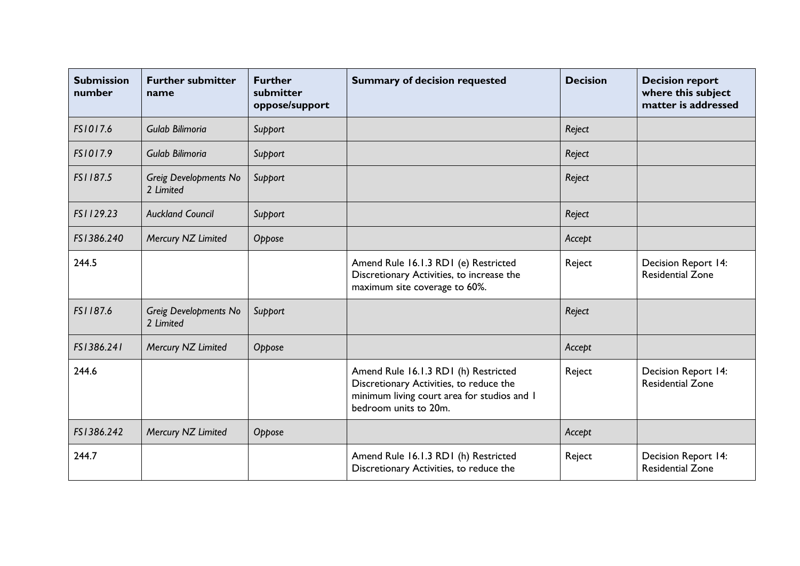| <b>Submission</b><br>number | <b>Further submitter</b><br>name          | <b>Further</b><br>submitter<br>oppose/support | <b>Summary of decision requested</b>                                                                                                                    | <b>Decision</b> | <b>Decision report</b><br>where this subject<br>matter is addressed |
|-----------------------------|-------------------------------------------|-----------------------------------------------|---------------------------------------------------------------------------------------------------------------------------------------------------------|-----------------|---------------------------------------------------------------------|
| FS1017.6                    | Gulab Bilimoria                           | Support                                       |                                                                                                                                                         | Reject          |                                                                     |
| FS1017.9                    | Gulab Bilimoria                           | Support                                       |                                                                                                                                                         | Reject          |                                                                     |
| FS1187.5                    | <b>Greig Developments No</b><br>2 Limited | Support                                       |                                                                                                                                                         | Reject          |                                                                     |
| FS1129.23                   | <b>Auckland Council</b>                   | Support                                       |                                                                                                                                                         | Reject          |                                                                     |
| FS1386.240                  | Mercury NZ Limited                        | Oppose                                        |                                                                                                                                                         | Accept          |                                                                     |
| 244.5                       |                                           |                                               | Amend Rule 16.1.3 RD1 (e) Restricted<br>Discretionary Activities, to increase the<br>maximum site coverage to 60%.                                      | Reject          | Decision Report 14:<br><b>Residential Zone</b>                      |
| FS1187.6                    | <b>Greig Developments No</b><br>2 Limited | Support                                       |                                                                                                                                                         | Reject          |                                                                     |
| FS1386.241                  | Mercury NZ Limited                        | Oppose                                        |                                                                                                                                                         | Accept          |                                                                     |
| 244.6                       |                                           |                                               | Amend Rule 16.1.3 RD1 (h) Restricted<br>Discretionary Activities, to reduce the<br>minimum living court area for studios and I<br>bedroom units to 20m. | Reject          | Decision Report 14:<br><b>Residential Zone</b>                      |
| FS1386.242                  | Mercury NZ Limited                        | Oppose                                        |                                                                                                                                                         | Accept          |                                                                     |
| 244.7                       |                                           |                                               | Amend Rule 16.1.3 RD1 (h) Restricted<br>Discretionary Activities, to reduce the                                                                         | Reject          | Decision Report 14:<br><b>Residential Zone</b>                      |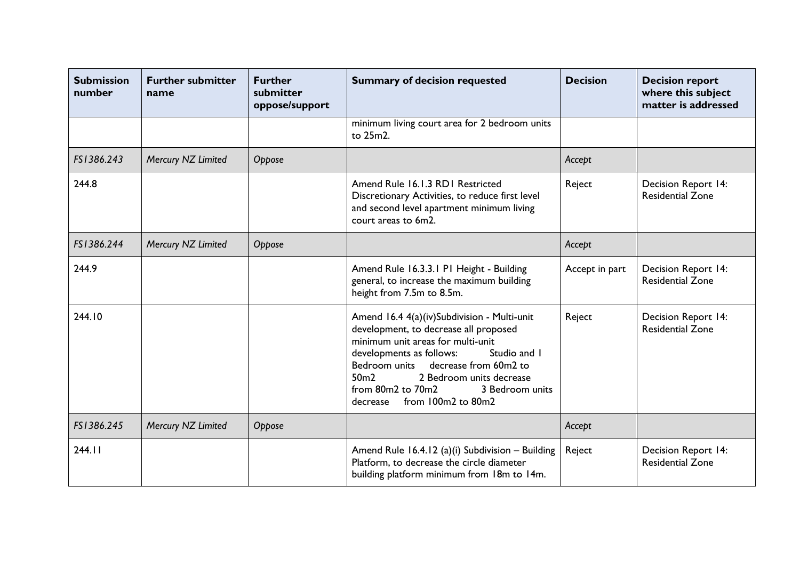| <b>Submission</b><br>number | <b>Further submitter</b><br>name | <b>Further</b><br>submitter<br>oppose/support | <b>Summary of decision requested</b>                                                                                                                                                                                                                                                                                                | <b>Decision</b> | <b>Decision report</b><br>where this subject<br>matter is addressed |
|-----------------------------|----------------------------------|-----------------------------------------------|-------------------------------------------------------------------------------------------------------------------------------------------------------------------------------------------------------------------------------------------------------------------------------------------------------------------------------------|-----------------|---------------------------------------------------------------------|
|                             |                                  |                                               | minimum living court area for 2 bedroom units<br>to 25m2.                                                                                                                                                                                                                                                                           |                 |                                                                     |
| FS1386.243                  | Mercury NZ Limited               | Oppose                                        |                                                                                                                                                                                                                                                                                                                                     | Accept          |                                                                     |
| 244.8                       |                                  |                                               | Amend Rule 16.1.3 RD1 Restricted<br>Discretionary Activities, to reduce first level<br>and second level apartment minimum living<br>court areas to 6m2.                                                                                                                                                                             | Reject          | Decision Report 14:<br><b>Residential Zone</b>                      |
| FS1386.244                  | Mercury NZ Limited               | Oppose                                        |                                                                                                                                                                                                                                                                                                                                     | Accept          |                                                                     |
| 244.9                       |                                  |                                               | Amend Rule 16.3.3.1 P1 Height - Building<br>general, to increase the maximum building<br>height from 7.5m to 8.5m.                                                                                                                                                                                                                  | Accept in part  | Decision Report 14:<br><b>Residential Zone</b>                      |
| 244.10                      |                                  |                                               | Amend 16.4 4(a)(iv)Subdivision - Multi-unit<br>development, to decrease all proposed<br>minimum unit areas for multi-unit<br>Studio and I<br>developments as follows:<br>Bedroom units decrease from 60m2 to<br>50 <sub>m2</sub><br>2 Bedroom units decrease<br>from 80m2 to 70m2<br>3 Bedroom units<br>decrease from 100m2 to 80m2 | Reject          | Decision Report 14:<br><b>Residential Zone</b>                      |
| FS1386.245                  | Mercury NZ Limited               | Oppose                                        |                                                                                                                                                                                                                                                                                                                                     | Accept          |                                                                     |
| 244.11                      |                                  |                                               | Amend Rule 16.4.12 (a)(i) Subdivision - Building<br>Platform, to decrease the circle diameter<br>building platform minimum from 18m to 14m.                                                                                                                                                                                         | Reject          | Decision Report 14:<br><b>Residential Zone</b>                      |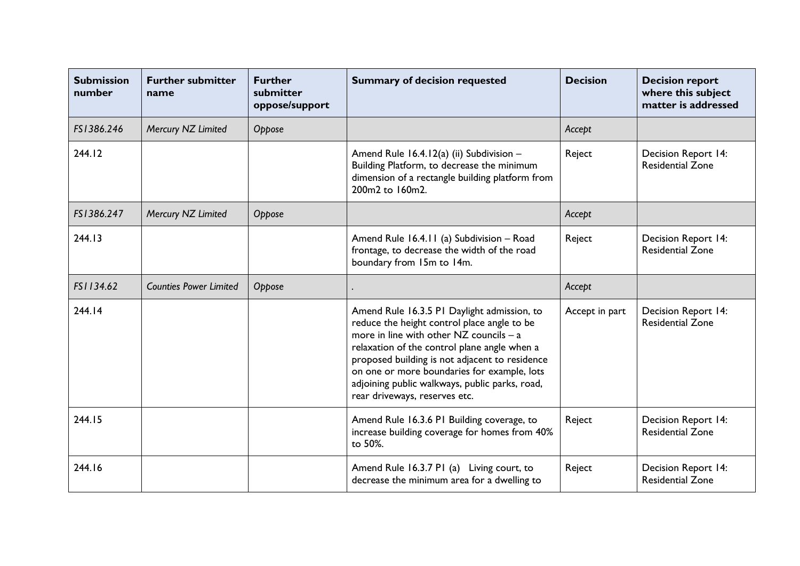| <b>Submission</b><br>number | <b>Further submitter</b><br>name | <b>Further</b><br>submitter<br>oppose/support | <b>Summary of decision requested</b>                                                                                                                                                                                                                                                                                                                                          | <b>Decision</b> | <b>Decision report</b><br>where this subject<br>matter is addressed |
|-----------------------------|----------------------------------|-----------------------------------------------|-------------------------------------------------------------------------------------------------------------------------------------------------------------------------------------------------------------------------------------------------------------------------------------------------------------------------------------------------------------------------------|-----------------|---------------------------------------------------------------------|
| FS1386.246                  | Mercury NZ Limited               | Oppose                                        |                                                                                                                                                                                                                                                                                                                                                                               | Accept          |                                                                     |
| 244.12                      |                                  |                                               | Amend Rule 16.4.12(a) (ii) Subdivision -<br>Building Platform, to decrease the minimum<br>dimension of a rectangle building platform from<br>200m2 to 160m2.                                                                                                                                                                                                                  | Reject          | Decision Report 14:<br><b>Residential Zone</b>                      |
| FS1386.247                  | Mercury NZ Limited               | Oppose                                        |                                                                                                                                                                                                                                                                                                                                                                               | Accept          |                                                                     |
| 244.13                      |                                  |                                               | Amend Rule 16.4.11 (a) Subdivision - Road<br>frontage, to decrease the width of the road<br>boundary from 15m to 14m.                                                                                                                                                                                                                                                         | Reject          | Decision Report 14:<br><b>Residential Zone</b>                      |
| FS1134.62                   | <b>Counties Power Limited</b>    | Oppose                                        |                                                                                                                                                                                                                                                                                                                                                                               | Accept          |                                                                     |
| 244.14                      |                                  |                                               | Amend Rule 16.3.5 PI Daylight admission, to<br>reduce the height control place angle to be<br>more in line with other $NZ$ councils $- a$<br>relaxation of the control plane angle when a<br>proposed building is not adjacent to residence<br>on one or more boundaries for example, lots<br>adjoining public walkways, public parks, road,<br>rear driveways, reserves etc. | Accept in part  | Decision Report 14:<br><b>Residential Zone</b>                      |
| 244.15                      |                                  |                                               | Amend Rule 16.3.6 PI Building coverage, to<br>increase building coverage for homes from 40%<br>to 50%.                                                                                                                                                                                                                                                                        | Reject          | Decision Report 14:<br><b>Residential Zone</b>                      |
| 244.16                      |                                  |                                               | Amend Rule 16.3.7 P1 (a) Living court, to<br>decrease the minimum area for a dwelling to                                                                                                                                                                                                                                                                                      | Reject          | <b>Decision Report 14:</b><br><b>Residential Zone</b>               |